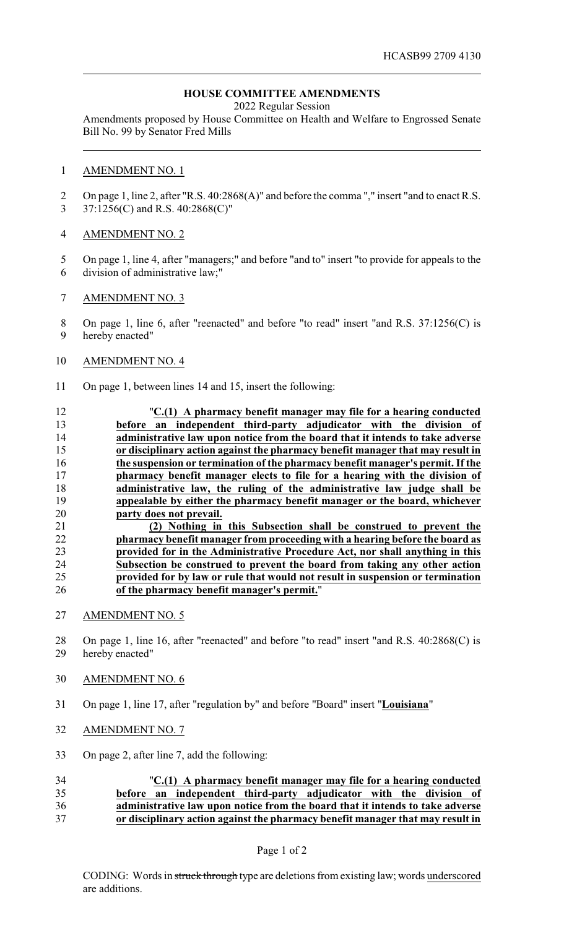## **HOUSE COMMITTEE AMENDMENTS**

2022 Regular Session

Amendments proposed by House Committee on Health and Welfare to Engrossed Senate Bill No. 99 by Senator Fred Mills

#### AMENDMENT NO. 1

 On page 1, line 2, after "R.S. 40:2868(A)" and before the comma "," insert "and to enact R.S. 37:1256(C) and R.S. 40:2868(C)"

#### AMENDMENT NO. 2

- On page 1, line 4, after "managers;" and before "and to" insert "to provide for appeals to the division of administrative law;"
- AMENDMENT NO. 3

8 On page 1, line 6, after "reenacted" and before "to read" insert "and R.S. 37:1256(C) is hereby enacted"

#### AMENDMENT NO. 4

- On page 1, between lines 14 and 15, insert the following:
- "**C.(1) A pharmacy benefit manager may file for a hearing conducted before an independent third-party adjudicator with the division of administrative law upon notice from the board that it intends to take adverse or disciplinary action against the pharmacy benefit manager that may result in the suspension or termination of the pharmacy benefit manager's permit. If the pharmacy benefit manager elects to file for a hearing with the division of administrative law, the ruling of the administrative law judge shall be appealable by either the pharmacy benefit manager or the board, whichever party does not prevail. (2) Nothing in this Subsection shall be construed to prevent the pharmacy benefit manager from proceeding with a hearing before the board as**

# **provided for in the Administrative Procedure Act, nor shall anything in this Subsection be construed to prevent the board from taking any other action provided for by law or rule that would not result in suspension or termination of the pharmacy benefit manager's permit.**"

- AMENDMENT NO. 5
- On page 1, line 16, after "reenacted" and before "to read" insert "and R.S. 40:2868(C) is hereby enacted"
- AMENDMENT NO. 6
- On page 1, line 17, after "regulation by" and before "Board" insert "**Louisiana**"
- AMENDMENT NO. 7
- On page 2, after line 7, add the following:

### "**C.(1) A pharmacy benefit manager may file for a hearing conducted before an independent third-party adjudicator with the division of administrative law upon notice from the board that it intends to take adverse or disciplinary action against the pharmacy benefit manager that may result in**

Page 1 of 2